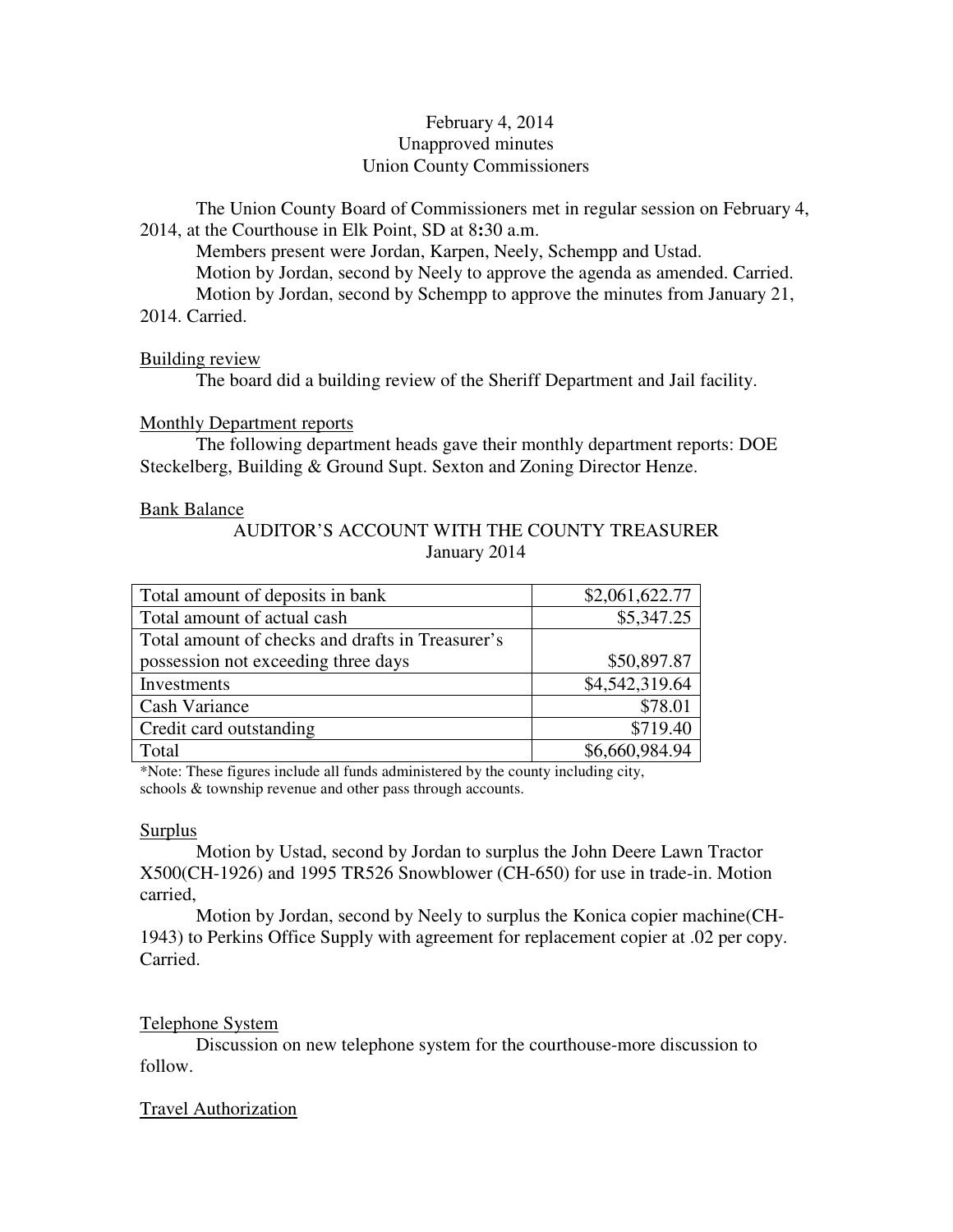# February 4, 2014 Unapproved minutes Union County Commissioners

The Union County Board of Commissioners met in regular session on February 4, 2014, at the Courthouse in Elk Point, SD at 8**:**30 a.m.

 Members present were Jordan, Karpen, Neely, Schempp and Ustad. Motion by Jordan, second by Neely to approve the agenda as amended. Carried. Motion by Jordan, second by Schempp to approve the minutes from January 21, 2014. Carried.

## Building review

The board did a building review of the Sheriff Department and Jail facility.

## Monthly Department reports

 The following department heads gave their monthly department reports: DOE Steckelberg, Building & Ground Supt. Sexton and Zoning Director Henze.

## Bank Balance

# AUDITOR'S ACCOUNT WITH THE COUNTY TREASURER January 2014

| Total amount of deposits in bank                 | \$2,061,622.77 |
|--------------------------------------------------|----------------|
| Total amount of actual cash                      | \$5,347.25     |
| Total amount of checks and drafts in Treasurer's |                |
| possession not exceeding three days              | \$50,897.87    |
| Investments                                      | \$4,542,319.64 |
| <b>Cash Variance</b>                             | \$78.01        |
| Credit card outstanding                          | \$719.40       |
| Total                                            | \$6,660,984.94 |

\*Note: These figures include all funds administered by the county including city, schools & township revenue and other pass through accounts.

### **Surplus**

 Motion by Ustad, second by Jordan to surplus the John Deere Lawn Tractor X500(CH-1926) and 1995 TR526 Snowblower (CH-650) for use in trade-in. Motion carried,

 Motion by Jordan, second by Neely to surplus the Konica copier machine(CH-1943) to Perkins Office Supply with agreement for replacement copier at .02 per copy. Carried.

# Telephone System

 Discussion on new telephone system for the courthouse-more discussion to follow.

# Travel Authorization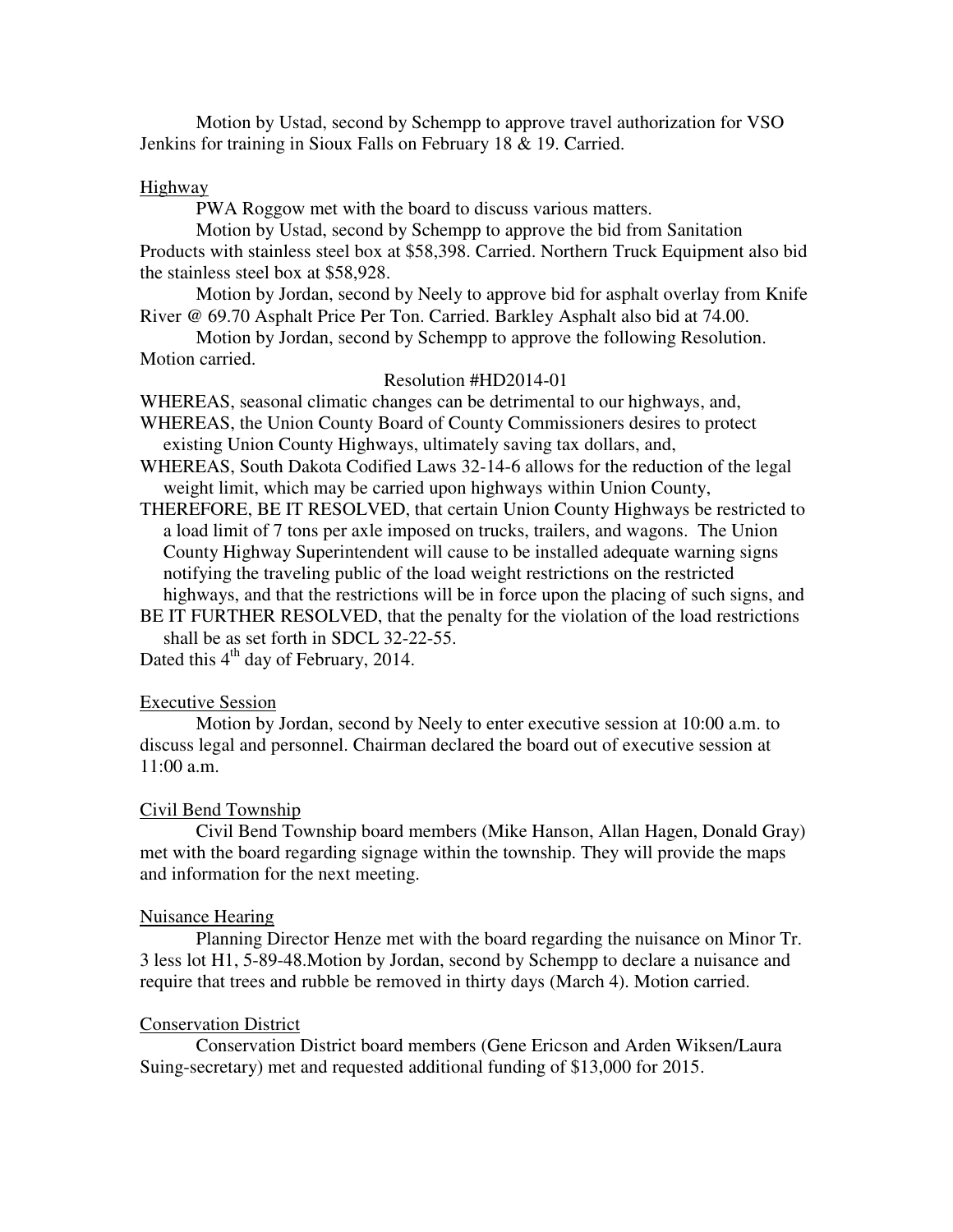Motion by Ustad, second by Schempp to approve travel authorization for VSO Jenkins for training in Sioux Falls on February 18 & 19. Carried.

## Highway

PWA Roggow met with the board to discuss various matters.

 Motion by Ustad, second by Schempp to approve the bid from Sanitation Products with stainless steel box at \$58,398. Carried. Northern Truck Equipment also bid the stainless steel box at \$58,928.

 Motion by Jordan, second by Neely to approve bid for asphalt overlay from Knife River @ 69.70 Asphalt Price Per Ton. Carried. Barkley Asphalt also bid at 74.00.

Motion by Jordan, second by Schempp to approve the following Resolution. Motion carried.

### Resolution #HD2014-01

WHEREAS, seasonal climatic changes can be detrimental to our highways, and, WHEREAS, the Union County Board of County Commissioners desires to protect existing Union County Highways, ultimately saving tax dollars, and,

WHEREAS, South Dakota Codified Laws 32-14-6 allows for the reduction of the legal weight limit, which may be carried upon highways within Union County,

THEREFORE, BE IT RESOLVED, that certain Union County Highways be restricted to a load limit of 7 tons per axle imposed on trucks, trailers, and wagons. The Union County Highway Superintendent will cause to be installed adequate warning signs notifying the traveling public of the load weight restrictions on the restricted highways, and that the restrictions will be in force upon the placing of such signs, and

BE IT FURTHER RESOLVED, that the penalty for the violation of the load restrictions shall be as set forth in SDCL 32-22-55.

Dated this  $4<sup>th</sup>$  day of February, 2014.

### Executive Session

 Motion by Jordan, second by Neely to enter executive session at 10:00 a.m. to discuss legal and personnel. Chairman declared the board out of executive session at 11:00 a.m.

# Civil Bend Township

 Civil Bend Township board members (Mike Hanson, Allan Hagen, Donald Gray) met with the board regarding signage within the township. They will provide the maps and information for the next meeting.

### Nuisance Hearing

 Planning Director Henze met with the board regarding the nuisance on Minor Tr. 3 less lot H1, 5-89-48.Motion by Jordan, second by Schempp to declare a nuisance and require that trees and rubble be removed in thirty days (March 4). Motion carried.

## Conservation District

 Conservation District board members (Gene Ericson and Arden Wiksen/Laura Suing-secretary) met and requested additional funding of \$13,000 for 2015.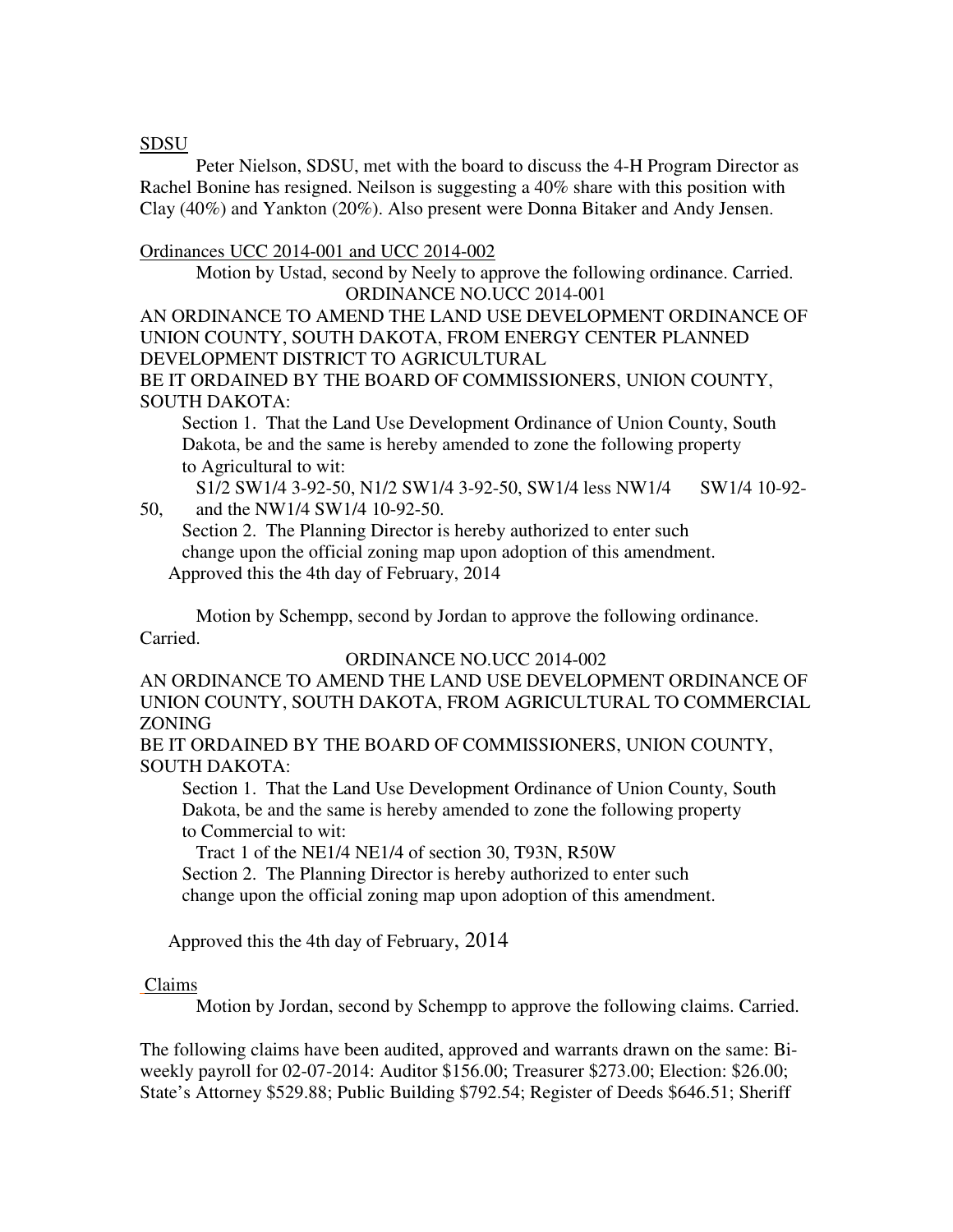# SDSU

 Peter Nielson, SDSU, met with the board to discuss the 4-H Program Director as Rachel Bonine has resigned. Neilson is suggesting a 40% share with this position with Clay (40%) and Yankton (20%). Also present were Donna Bitaker and Andy Jensen.

## Ordinances UCC 2014-001 and UCC 2014-002

Motion by Ustad, second by Neely to approve the following ordinance. Carried. ORDINANCE NO.UCC 2014-001

AN ORDINANCE TO AMEND THE LAND USE DEVELOPMENT ORDINANCE OF UNION COUNTY, SOUTH DAKOTA, FROM ENERGY CENTER PLANNED DEVELOPMENT DISTRICT TO AGRICULTURAL

BE IT ORDAINED BY THE BOARD OF COMMISSIONERS, UNION COUNTY, SOUTH DAKOTA:

 Section 1. That the Land Use Development Ordinance of Union County, South Dakota, be and the same is hereby amended to zone the following property to Agricultural to wit:

 S1/2 SW1/4 3-92-50, N1/2 SW1/4 3-92-50, SW1/4 less NW1/4 SW1/4 10-92- 50, and the NW1/4 SW1/4 10-92-50.

 Section 2. The Planning Director is hereby authorized to enter such change upon the official zoning map upon adoption of this amendment.

Approved this the 4th day of February, 2014

 Motion by Schempp, second by Jordan to approve the following ordinance. Carried.

# ORDINANCE NO.UCC 2014-002

AN ORDINANCE TO AMEND THE LAND USE DEVELOPMENT ORDINANCE OF UNION COUNTY, SOUTH DAKOTA, FROM AGRICULTURAL TO COMMERCIAL ZONING

BE IT ORDAINED BY THE BOARD OF COMMISSIONERS, UNION COUNTY, SOUTH DAKOTA:

 Section 1. That the Land Use Development Ordinance of Union County, South Dakota, be and the same is hereby amended to zone the following property to Commercial to wit:

Tract 1 of the NE1/4 NE1/4 of section 30, T93N, R50W

 Section 2. The Planning Director is hereby authorized to enter such change upon the official zoning map upon adoption of this amendment.

Approved this the 4th day of February, 2014

# Claims

Motion by Jordan, second by Schempp to approve the following claims. Carried.

The following claims have been audited, approved and warrants drawn on the same: Biweekly payroll for 02-07-2014: Auditor \$156.00; Treasurer \$273.00; Election: \$26.00; State's Attorney \$529.88; Public Building \$792.54; Register of Deeds \$646.51; Sheriff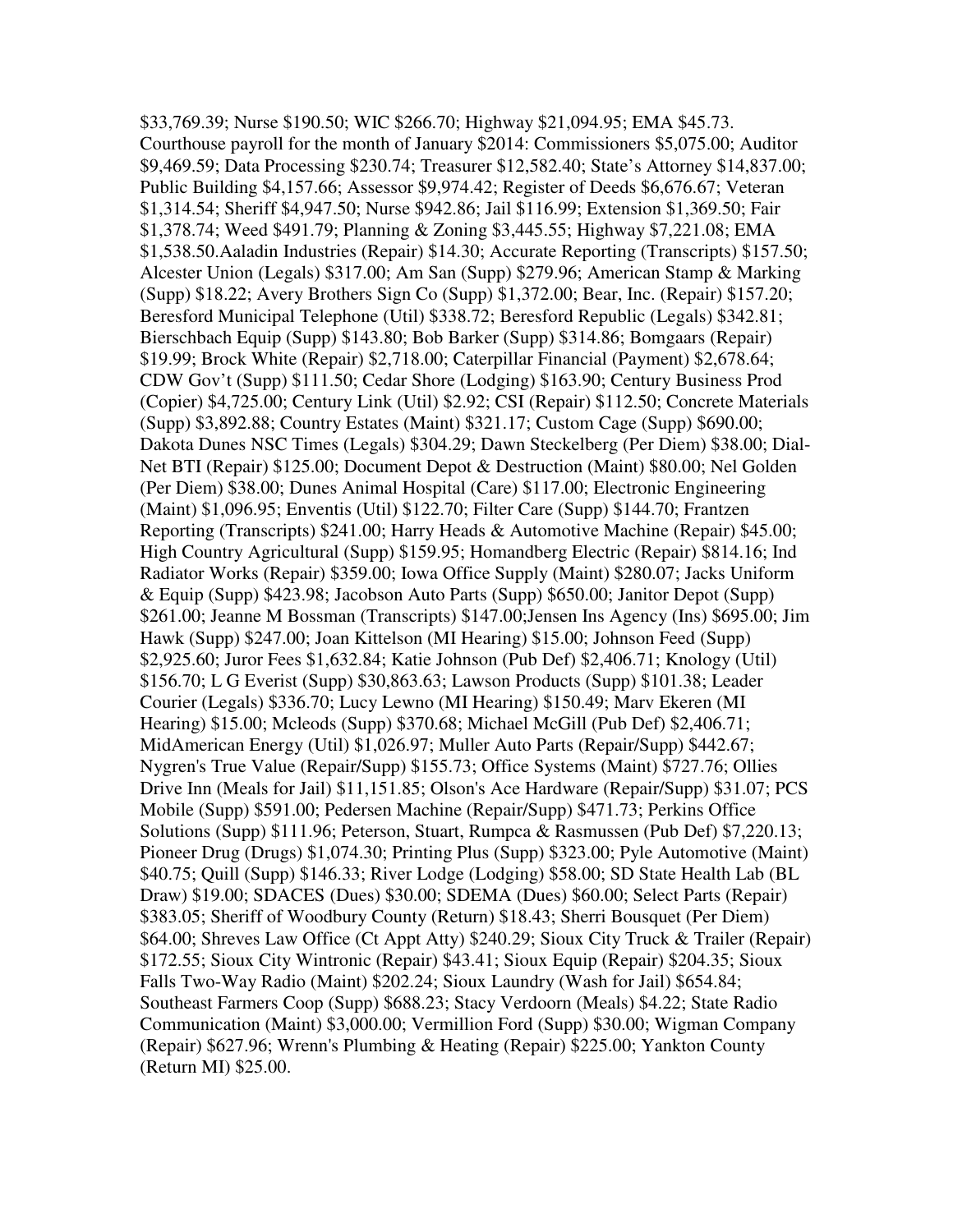\$33,769.39; Nurse \$190.50; WIC \$266.70; Highway \$21,094.95; EMA \$45.73. Courthouse payroll for the month of January \$2014: Commissioners \$5,075.00; Auditor \$9,469.59; Data Processing \$230.74; Treasurer \$12,582.40; State's Attorney \$14,837.00; Public Building \$4,157.66; Assessor \$9,974.42; Register of Deeds \$6,676.67; Veteran \$1,314.54; Sheriff \$4,947.50; Nurse \$942.86; Jail \$116.99; Extension \$1,369.50; Fair \$1,378.74; Weed \$491.79; Planning & Zoning \$3,445.55; Highway \$7,221.08; EMA \$1,538.50.Aaladin Industries (Repair) \$14.30; Accurate Reporting (Transcripts) \$157.50; Alcester Union (Legals) \$317.00; Am San (Supp) \$279.96; American Stamp & Marking (Supp) \$18.22; Avery Brothers Sign Co (Supp) \$1,372.00; Bear, Inc. (Repair) \$157.20; Beresford Municipal Telephone (Util) \$338.72; Beresford Republic (Legals) \$342.81; Bierschbach Equip (Supp) \$143.80; Bob Barker (Supp) \$314.86; Bomgaars (Repair) \$19.99; Brock White (Repair) \$2,718.00; Caterpillar Financial (Payment) \$2,678.64; CDW Gov't (Supp) \$111.50; Cedar Shore (Lodging) \$163.90; Century Business Prod (Copier) \$4,725.00; Century Link (Util) \$2.92; CSI (Repair) \$112.50; Concrete Materials (Supp) \$3,892.88; Country Estates (Maint) \$321.17; Custom Cage (Supp) \$690.00; Dakota Dunes NSC Times (Legals) \$304.29; Dawn Steckelberg (Per Diem) \$38.00; Dial-Net BTI (Repair) \$125.00; Document Depot & Destruction (Maint) \$80.00; Nel Golden (Per Diem) \$38.00; Dunes Animal Hospital (Care) \$117.00; Electronic Engineering (Maint) \$1,096.95; Enventis (Util) \$122.70; Filter Care (Supp) \$144.70; Frantzen Reporting (Transcripts) \$241.00; Harry Heads & Automotive Machine (Repair) \$45.00; High Country Agricultural (Supp) \$159.95; Homandberg Electric (Repair) \$814.16; Ind Radiator Works (Repair) \$359.00; Iowa Office Supply (Maint) \$280.07; Jacks Uniform & Equip (Supp) \$423.98; Jacobson Auto Parts (Supp) \$650.00; Janitor Depot (Supp) \$261.00; Jeanne M Bossman (Transcripts) \$147.00;Jensen Ins Agency (Ins) \$695.00; Jim Hawk (Supp) \$247.00; Joan Kittelson (MI Hearing) \$15.00; Johnson Feed (Supp) \$2,925.60; Juror Fees \$1,632.84; Katie Johnson (Pub Def) \$2,406.71; Knology (Util) \$156.70; L G Everist (Supp) \$30,863.63; Lawson Products (Supp) \$101.38; Leader Courier (Legals) \$336.70; Lucy Lewno (MI Hearing) \$150.49; Marv Ekeren (MI Hearing) \$15.00; Mcleods (Supp) \$370.68; Michael McGill (Pub Def) \$2,406.71; MidAmerican Energy (Util) \$1,026.97; Muller Auto Parts (Repair/Supp) \$442.67; Nygren's True Value (Repair/Supp) \$155.73; Office Systems (Maint) \$727.76; Ollies Drive Inn (Meals for Jail) \$11,151.85; Olson's Ace Hardware (Repair/Supp) \$31.07; PCS Mobile (Supp) \$591.00; Pedersen Machine (Repair/Supp) \$471.73; Perkins Office Solutions (Supp) \$111.96; Peterson, Stuart, Rumpca & Rasmussen (Pub Def) \$7,220.13; Pioneer Drug (Drugs) \$1,074.30; Printing Plus (Supp) \$323.00; Pyle Automotive (Maint) \$40.75; Quill (Supp) \$146.33; River Lodge (Lodging) \$58.00; SD State Health Lab (BL Draw) \$19.00; SDACES (Dues) \$30.00; SDEMA (Dues) \$60.00; Select Parts (Repair) \$383.05; Sheriff of Woodbury County (Return) \$18.43; Sherri Bousquet (Per Diem) \$64.00; Shreves Law Office (Ct Appt Atty) \$240.29; Sioux City Truck & Trailer (Repair) \$172.55; Sioux City Wintronic (Repair) \$43.41; Sioux Equip (Repair) \$204.35; Sioux Falls Two-Way Radio (Maint) \$202.24; Sioux Laundry (Wash for Jail) \$654.84; Southeast Farmers Coop (Supp) \$688.23; Stacy Verdoorn (Meals) \$4.22; State Radio Communication (Maint) \$3,000.00; Vermillion Ford (Supp) \$30.00; Wigman Company (Repair) \$627.96; Wrenn's Plumbing & Heating (Repair) \$225.00; Yankton County (Return MI) \$25.00.